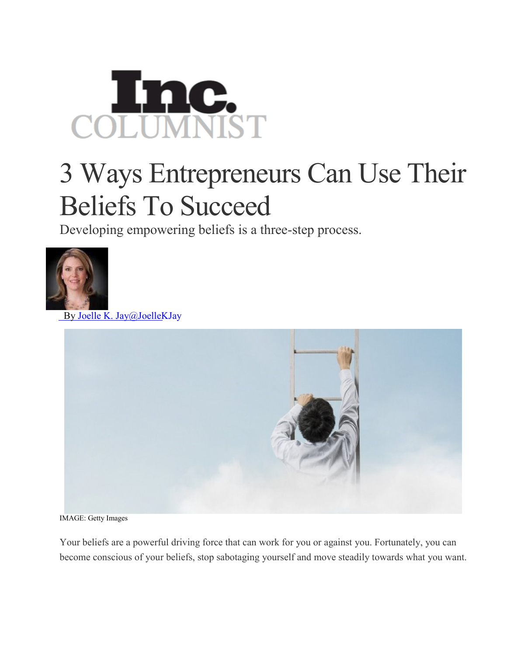

## 3 Ways Entrepreneurs Can Use Their Beliefs To Succeed

Developing empowering beliefs is a three-step process.



By Joelle K. [Jay@JoelleKJay](http://www.inc.com/author/joelle-k-jay)



IMAGE: Getty Images

Your beliefs are a powerful driving force that can work for you or against you. Fortunately, you can become conscious of your beliefs, stop sabotaging yourself and move steadily towards what you want.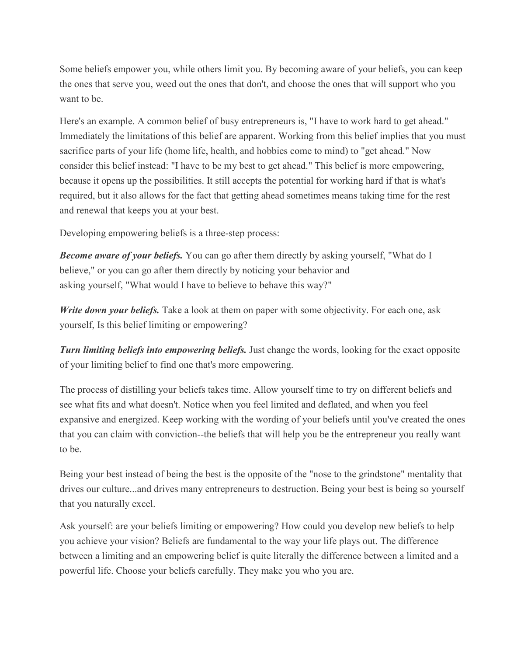Some beliefs empower you, while others limit you. By becoming aware of your beliefs, you can keep the ones that serve you, weed out the ones that don't, and choose the ones that will support who you want to be.

Here's an example. A common belief of busy entrepreneurs is, "I have to work hard to get ahead." Immediately the limitations of this belief are apparent. Working from this belief implies that you must sacrifice parts of your life (home life, health, and hobbies come to mind) to "get ahead." Now consider this belief instead: "I have to be my best to get ahead." This belief is more empowering, because it opens up the possibilities. It still accepts the potential for working hard if that is what's required, but it also allows for the fact that getting ahead sometimes means taking time for the rest and renewal that keeps you at your best.

Developing empowering beliefs is a three-step process:

*Become aware of your beliefs.* You can go after them directly by asking yourself, "What do I believe," or you can go after them directly by noticing your behavior and asking yourself, "What would I have to believe to behave this way?"

*Write down your beliefs.* Take a look at them on paper with some objectivity. For each one, ask yourself, Is this belief limiting or empowering?

*Turn limiting beliefs into empowering beliefs.* Just change the words, looking for the exact opposite of your limiting belief to find one that's more empowering.

The process of distilling your beliefs takes time. Allow yourself time to try on different beliefs and see what fits and what doesn't. Notice when you feel limited and deflated, and when you feel expansive and energized. Keep working with the wording of your beliefs until you've created the ones that you can claim with conviction--the beliefs that will help you be the entrepreneur you really want to be.

Being your best instead of being the best is the opposite of the "nose to the grindstone" mentality that drives our culture...and drives many entrepreneurs to destruction. Being your best is being so yourself that you naturally excel.

Ask yourself: are your beliefs limiting or empowering? How could you develop new beliefs to help you achieve your vision? Beliefs are fundamental to the way your life plays out. The difference between a limiting and an empowering belief is quite literally the difference between a limited and a powerful life. Choose your beliefs carefully. They make you who you are.